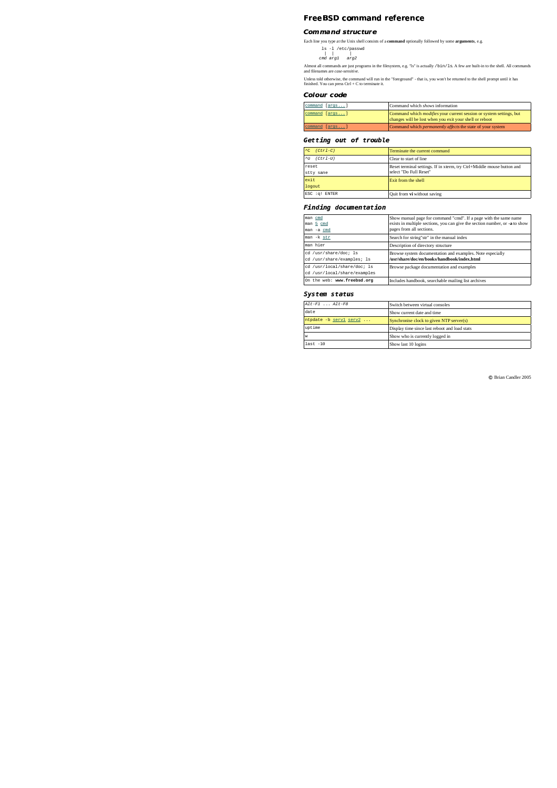#### -  -

### Command structure

Each line you type at the Unix shell consists of a **command** optionally followed by some **arguments**, e.g.<br>  $\begin{vmatrix} \n\vert & \vert & \vert & \vert \n\end{vmatrix}$ <br>  $= \begin{vmatrix} \n\vert & \vert & \vert & \vert & \vert \n\end{vmatrix}$ <br>  $= \begin{vmatrix} \nu & \vert & \vert & \vert & \vert & \vert \n\end{vmatrix}$ <br>  $= \begin{vmatrix} \nu & \$ 

Almost all commands are just programs in the filesystem, e.g. "ls" is actually /bin/ls. A few are built-in to the shell. All commands and filenames are *case-sensitive*.

Unless told otherwise, the command will run in the "foreground" - that is, you won't be returned to the shell prompt until it has finished. You can press Ctrl + C to terminate it.

### Colour code

|  | command [args] | Command which shows information                                                                                                       |  |
|--|----------------|---------------------------------------------------------------------------------------------------------------------------------------|--|
|  | command [args] | Command which <i>modifies</i> your current session or system settings, but<br>changes will be lost when you exit your shell or reboot |  |
|  | command [args] | Command which <i>permanently affects</i> the state of your system                                                                     |  |

# Getting out of trouble

| $(Ctr1-C)$<br>$^{\sim}$ C    | Terminate the current command                                                                    |  |
|------------------------------|--------------------------------------------------------------------------------------------------|--|
| $(Ctr1-U)$<br>$^{\wedge}$ TT | Clear to start of line                                                                           |  |
| reset<br>stty sane           | Reset terminal settings. If in xterm, try Ctrl+Middle mouse button and<br>select "Do Full Reset" |  |
| exit                         | Exit from the shell                                                                              |  |
| logout                       |                                                                                                  |  |
| :q! ENTER<br>ESC             | Quit from vi without saving                                                                      |  |

### Finding documentation

| man cmd<br>man 5 cmd<br>man -a cmd                          | Show manual page for command "cmd". If a page with the same name<br>exists in multiple sections, you can give the section number, or -a to show<br>pages from all sections. |
|-------------------------------------------------------------|-----------------------------------------------------------------------------------------------------------------------------------------------------------------------------|
| man -k str                                                  | Search for string"str" in the manual index                                                                                                                                  |
| man hier                                                    | Description of directory structure                                                                                                                                          |
| cd /usr/share/doc; ls<br>cd /usr/share/examples; ls         | Browse system documentation and examples. Note especially<br>/usr/share/doc/en/books/handbook/index.html                                                                    |
| cd /usr/local/share/doc; ls<br>cd /usr/local/share/examples | Browse package documentation and examples                                                                                                                                   |
| On the web: www.freebsd.org                                 | Includes handbook, searchable mailing list archives                                                                                                                         |

### System status

| $Alt-F1$ $Alt-F8$      | Switch between virtual consoles               |  |
|------------------------|-----------------------------------------------|--|
| date                   | Show current date and time                    |  |
| ntpdate -b servl serv2 | Synchronise clock to given NTP server(s)      |  |
| uptime                 | Display time since last reboot and load stats |  |
| W                      | Show who is currently logged in               |  |
| $last -10$             | Show last 10 logins                           |  |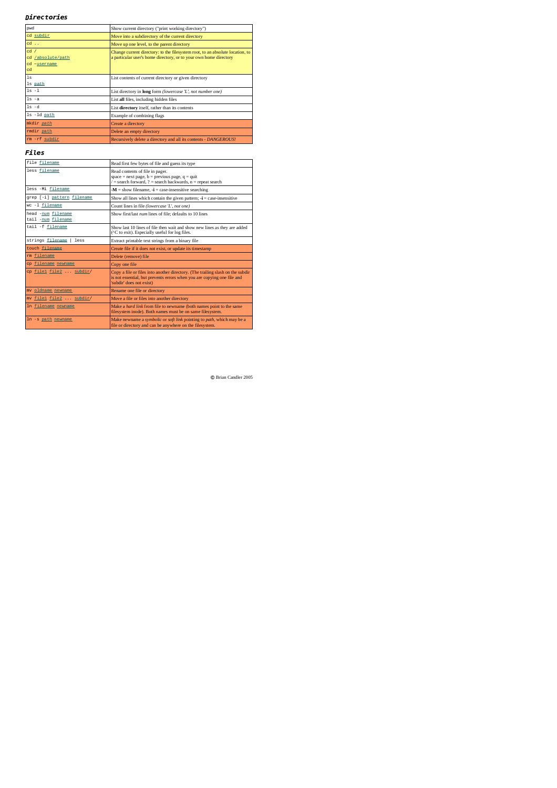## $\emph{Directions}$

| pwd                             | Show current directory ("print working directory")                            |  |
|---------------------------------|-------------------------------------------------------------------------------|--|
| cd subdir                       | Move into a subdirectory of the current directory                             |  |
| cd                              | Move up one level, to the parent directory                                    |  |
| $cd$ /                          | Change current directory: to the filesystem root, to an absolute location, to |  |
| cd<br>/absolute/path            | a particular user's home directory, or to your own home directory             |  |
| <sub>cd</sub><br>$\nu$ username |                                                                               |  |
| cd                              |                                                                               |  |
| 1s                              | List contents of current directory or given directory                         |  |
| 1s path                         |                                                                               |  |
| $ls -1$                         | List directory in long form (lowercase 'L', not number one)                   |  |
| $ls -a$                         | List all files, including hidden files                                        |  |
| $ls -d$                         | List directory itself, rather than its contents                               |  |
| 1s -1d path                     | Example of combining flags                                                    |  |
| mkdir path                      | Create a directory                                                            |  |
| rmdir path                      | Delete an empty directory                                                     |  |
| rm -rf subdir                   | Recursively delete a directory and all its contents - DANGEROUS!              |  |

 $_{\text{Files}}$ 

| file filename                            | Read first few bytes of file and guess its type                                                                                                                                       |  |
|------------------------------------------|---------------------------------------------------------------------------------------------------------------------------------------------------------------------------------------|--|
| less filename                            | Read contents of file in pager.<br>space = next page, $b =$ previous page, $q =$ quit<br>$l =$ search forward, ? = search backwards, $n =$ repeat search                              |  |
| less -Mi filename                        | $M =$ show filename. $\mathbf{i} =$ case-insensitive searching                                                                                                                        |  |
| grep [-i] pattern filename               | Show all lines which contain the given pattern; $\mathbf{I} = \text{case-insensitive}$                                                                                                |  |
| wc -1 filename                           | Count lines in file (lowercase 'L', not one)                                                                                                                                          |  |
| head -num filename<br>tail -num filename | Show first/last num lines of file: defaults to 10 lines                                                                                                                               |  |
| tail -f filename                         | Show last 10 lines of file then wait and show new lines as they are added<br>(^C to exit). Especially useful for log files.                                                           |  |
| strings filename<br>less                 | Extract printable text strings from a binary file                                                                                                                                     |  |
| touch filename                           | Create file if it does not exist, or update its timestamp                                                                                                                             |  |
| rm filename                              | Delete (remove) file                                                                                                                                                                  |  |
| cp filename newname                      | Copy one file                                                                                                                                                                         |  |
| cp file1 file2  subdir/                  | Copy a file or files into another directory. (The trailing slash on the subdir<br>is not essential, but prevents errors when you are copying one file and<br>'subdir' does not exist) |  |
| mv oldname newname                       | Rename one file or directory                                                                                                                                                          |  |
| mv file1 file2 . subdir/                 | Move a file or files into another directory                                                                                                                                           |  |
| In filename newname                      | Make a hard link from file to newname (both names point to the same<br>filesystem inode). Both names must be on same filesystem.                                                      |  |
| ln -s path newname                       |                                                                                                                                                                                       |  |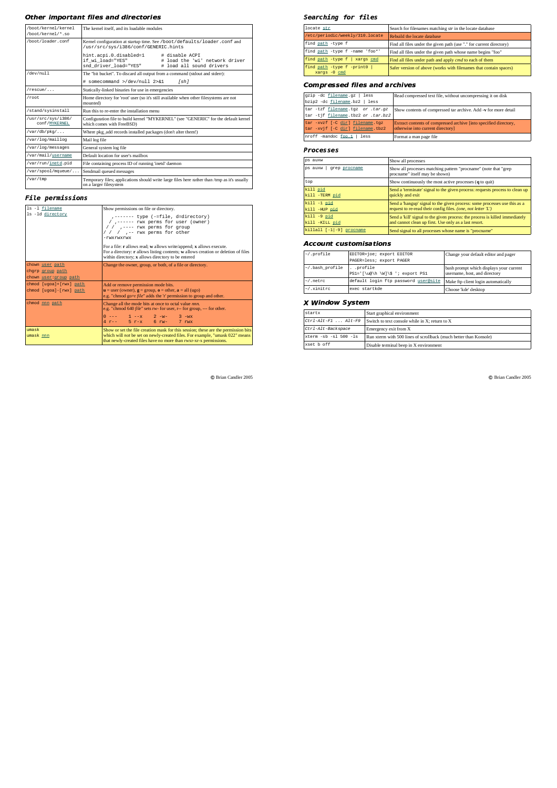## Other important files and directories

| /boot/kernel/kernel<br>/boot/kernel/*.so | The kemel itself, and its loadable modules                                                                                                          |  |  |
|------------------------------------------|-----------------------------------------------------------------------------------------------------------------------------------------------------|--|--|
| /boot/loader.conf                        | Kernel configuration at startup time. See /boot/defaults/loader.conf and<br>/usr/src/sys/i386/conf/GENERIC.hints                                    |  |  |
|                                          | hint.acpi.0.disabled=1<br># disable ACPI<br>if wi load="YES"<br># load the 'wi' network driver<br>snd driver load="YES"<br># load all sound drivers |  |  |
| $\frac{\text{dev}}{\text{null}}$         | The "bit bucket". To discard all output from a command (stdout and stderr):                                                                         |  |  |
|                                          | # somecommand >/dev/null 2>&1<br>[sh]                                                                                                               |  |  |
| $/rescue/$                               | Statically-linked binaries for use in emergencies                                                                                                   |  |  |
| /root                                    | Home directory for 'root' user (so it's still available when other filesystems are not<br>mounted)                                                  |  |  |
| /stand/sysinstall                        | Run this to re-enter the installation menu-                                                                                                         |  |  |
| /usr/src/sys/i386/<br>conf / MYKERNEL    | Configuration file to build kernel "MYKERNEL" (see "GENERIC" for the default kernel<br>which comes with FreeBSD)                                    |  |  |
| $\sqrt{var/db/pkq/}$                     | Where pkg add records installed packages (don't alter them!)                                                                                        |  |  |
| /var/log/maillog                         | Mail log file                                                                                                                                       |  |  |
| /var/log/messages                        | General system log file                                                                                                                             |  |  |
| /var/mail/username                       | Default location for user's mailbox                                                                                                                 |  |  |
| /var/run/inetd.pid                       | File containing process ID of running 'inetd' daemon                                                                                                |  |  |
| /var/spool/mqueue/                       | Sendmail queued messages                                                                                                                            |  |  |
| /var/tmp                                 | Temporary files; applications should write large files here rather than /tmp as it's usually<br>on a larger filesystem                              |  |  |

# **File permissions**

| ls -1 filename          | Show permissions on file or directory.                                                                                                                                                                                                                           |  |
|-------------------------|------------------------------------------------------------------------------------------------------------------------------------------------------------------------------------------------------------------------------------------------------------------|--|
| ls -1d directory        | ,------- type (-=file, d=directory)<br>/ ,------ rwx perms for user (owner)<br>/ / .---- rwx perms for group<br>/ / / ,-- rwx perms for other<br>-rwxrwxrwx<br>For a file: $\mathbf r$ allows read; $\mathbf w$ allows write/append; $\mathbf x$ allows execute. |  |
|                         | For a directory: $\mathbf r$ allows listing contents; $\mathbf w$ allows creation or deletion of files<br>within directory; x allows directory to be entered                                                                                                     |  |
| chown user path         | Change the owner, group, or both, of a file or directory.                                                                                                                                                                                                        |  |
| chgrp group path        |                                                                                                                                                                                                                                                                  |  |
| chown user group path   |                                                                                                                                                                                                                                                                  |  |
| chmod [uqoa]+[rwx] path | Add or remove permission mode bits.                                                                                                                                                                                                                              |  |
| chmod [uqoa]-[rwx] path | $\mathbf{u} =$ user (owner), $\mathbf{g} =$ group, $\mathbf{o} =$ other, $\mathbf{a} =$ all (ugo)<br>e.g. "chmod go+r <i>file</i> " adds the 'r' permission to group and other.                                                                                  |  |
| chmod nnn path          | Change all the mode bits at once to octal value mn.<br>e.g. "chmod 640 file" sets rw- for user, r-- for group, --- for other.                                                                                                                                    |  |
|                         | $0$ --- $1$ --x $2$ -w- $3$ -wx<br>4 r-- 5 r-x 6 rw- 7 rwx                                                                                                                                                                                                       |  |
| umask<br>umask nnn      | Show or set the file creation mask for this session; these are the permission bits<br>which will not be set on newly-created files. For example, "umask 022" means<br>that newly-created files have no more than rwxr-xr-x permissions.                          |  |

C Brian Candler 2005

## Searching for files

| locate str                                      | Search for filenames matching str in the locate database            |  |
|-------------------------------------------------|---------------------------------------------------------------------|--|
| /etc/periodic/weekly/310.locate                 | Rebuild the locate database                                         |  |
| find path -type f                               | Find all files under the given path (use "." for current directory) |  |
| find path -type f -name 'foo*'                  | Find all files under the given path whose name begins "foo"         |  |
| find path -type f   xargs cmd                   | Find all files under path and apply <i>cmd</i> to each of them      |  |
| find path -type f -print0  <br>$xargs -0$ $cmd$ | Safer version of above (works with filenames that contain spaces)   |  |

# **Compressed files and archives**

| gzip -dc filename.gz   less<br>bzip2 -dc filename.bz2   less           | Read compressed text file, without uncompressing it on disk                                            |
|------------------------------------------------------------------------|--------------------------------------------------------------------------------------------------------|
| tar -tzf filename.tgz or .tar.gz<br>tar -tjf filename.tbz2 or .tar.bz2 | Show contents of compressed tar archive. Add -v for more detail                                        |
| tar -xvzf [-C dirl filename.tgz<br>tar -xvjf [-C dir] filename.tbz2    | Extract contents of compressed archive [into specified directory,<br>otherwise into current directory] |
| nroff -mandoc foo.1   less                                             | Format a man page file                                                                                 |

# **Processes**

| ps auxw                     | Show all processes                                                           |  |
|-----------------------------|------------------------------------------------------------------------------|--|
| ps auxw                     | Show all processes matching pattern "procname" (note that "grep              |  |
| qrep procname               | procname" itself may be shown)                                               |  |
| top                         | Show continuously the most active processes $(q \text{ to quit})$            |  |
| kill pid                    | Send a 'terminate' signal to the given process: requests process to clean up |  |
| kill -TERM pid              | quickly and exit                                                             |  |
| $kill -1$ pid               | Send a 'hangup' signal to the given process: some processes use this as a    |  |
| kill -HUP pid               | request to re-read their config files. (one, not letter 'L')                 |  |
| $kill -9 pid$               | Send a "kill" signal to the given process: the process is killed immediately |  |
| kill -KILL pid              | and cannot clean up first. Use only as a last resort.                        |  |
| killall $[-1]-9$ ] procname | Send signal to all processes whose name is "procname"                        |  |

### **Account customisations**

| $\sim$ /.profile | EDITOR=joe; export EDITOR<br>PAGER=less; export PAGER | Change your default editor and pager                                     |
|------------------|-------------------------------------------------------|--------------------------------------------------------------------------|
| ~/.bash profile  | . .profile<br>PS1='[\u@\h \W]\\$ '; export PS1        | bash prompt which displays your current<br>username, host, and directory |
| $\sim$ /.netrc   | default login ftp password user@site                  | Make ftp client login automatically                                      |
| $\sim$ /.xinitrc | exec startkde                                         | Choose 'kde' desktop                                                     |

## X Window System

| startx                 | Start graphical environment                                                                                 |  |
|------------------------|-------------------------------------------------------------------------------------------------------------|--|
| $Ctrl-Alt-Fl$ $Alt-F9$ | Switch to text console while in X: return to X                                                              |  |
| Ctrl-Alt-Backspace     | Emergency exit from X                                                                                       |  |
| xterm -sb -sl 500 -ls  | Run xterm with 500 lines of scrollback (much better than Konsole)<br>Disable terminal beep in X environment |  |
| xset b off             |                                                                                                             |  |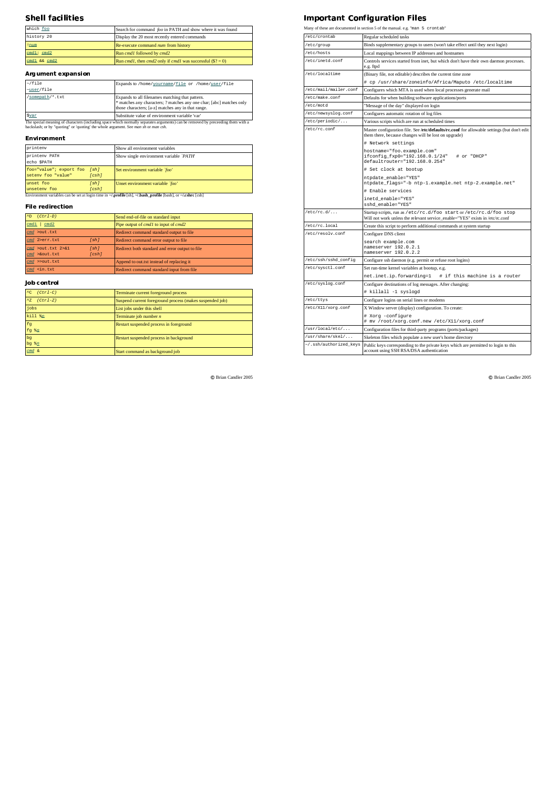#### --3-

| which foo    | Search for command foo in PATH and show where it was found                        |
|--------------|-----------------------------------------------------------------------------------|
| history 20   | Display the 20 most recently entered commands                                     |
| !num         | Re-execute command <i>num</i> from history                                        |
| cmd1; cmd2   | Run cmd1 followed by cmd2                                                         |
| cmd1 && cmd2 | Run <i>cmd1</i> , then <i>cmd2</i> only if <i>cmd1</i> was successful $(\$? = 0)$ |

### **Argument expansion**

| $\sim$ /file<br>~user/file | Expands to /home/vourname/file or /home/user/file                                                                                                                             |
|----------------------------|-------------------------------------------------------------------------------------------------------------------------------------------------------------------------------|
| /somepath/*.txt            | Expands to all filenames matching that pattern.<br>* matches any characters; ? matches any one char; [abc] matches only<br>those characters; [a-z] matches any in that range. |
| Svar                       | Substitute value of environment variable 'var'                                                                                                                                |

Substitute value of environment variable 'var'<br>The special meaning of characters (including space which normally separates arguments) can be removed by preceeding them with a<br>backslash; or by "quoting" or 'quoting' the wh

## **Environment**

| printeny                                           |               | Show all environment variables          |
|----------------------------------------------------|---------------|-----------------------------------------|
| printenv PATH<br>echo \$PATH                       |               | Show single environment variable `PATH` |
| foo="value"; export foo [sh]<br>seteny foo "value" | (csh)         | Set environment variable `foo'          |
| unset foo<br>unseteny foo                          | [sh]<br>(csh) | Unset environment variable 'foo'        |

### **File redirection**

| $\wedge$<br>$(Ctr1-D)$                                                                   |       | Send end-of-file on standard input                 |
|------------------------------------------------------------------------------------------|-------|----------------------------------------------------|
| cmd1<br>cmd2                                                                             |       | Pipe output of <i>cmd1</i> to input of <i>cmd2</i> |
| cmd >out.txt                                                                             |       | Redirect command standard output to file           |
| cmd 2>err.txt                                                                            | [sh]  | Redirect command error output to file              |
| cmd >out.txt 2>&1                                                                        | [sh]  | Redirect both standard and error output to file    |
| cmd >&out.txt                                                                            | [csh] |                                                    |
| cmd >>out.txt                                                                            |       | Append to out txt instead of replacing it          |
| cmd <in.txt< th=""><th></th><th>Redirect command standard input from file</th></in.txt<> |       | Redirect command standard input from file          |

# Job control

| $^{\wedge}$ C<br>$(Ctr1-C)$ | Terminate current foreground process                     |
|-----------------------------|----------------------------------------------------------|
| $^{\wedge}Z$<br>$(Ctrl-Z)$  | Suspend current foreground process (makes suspended job) |
| jobs                        | List jobs under this shell                               |
| $kil1$ $n$                  | Terminate job number $n$                                 |
| fq                          | Restart suspended process in foreground                  |
| fg $*_n$                    |                                                          |
| bq                          | Restart suspended process in background                  |
| $bq$ $bq$                   |                                                          |
| cmd &                       | Start command as background job                          |

 $©$  Brian Candler 2005

#### <sup>3</sup> 546 7983 ;:=< > >- 7

Many of these are documented in section 5 of the manual. e.g. "man 5 crontab"

| etc/crontab            | Regular scheduled tasks                                                                                                                                                                                                                                                                   |  |
|------------------------|-------------------------------------------------------------------------------------------------------------------------------------------------------------------------------------------------------------------------------------------------------------------------------------------|--|
| /etc/group             | Binds supplementary groups to users (won't take effect until they next login)                                                                                                                                                                                                             |  |
| /etc/hosts             | Local mappings between IP addresses and hostnames                                                                                                                                                                                                                                         |  |
| /etc/inetd.conf        | Controls services started from inet, but which don't have their own daemon processes.<br>e.g. ftpd                                                                                                                                                                                        |  |
| /etc/localtime         | (Binary file, not editable) describes the current time zone                                                                                                                                                                                                                               |  |
|                        | # cp /usr/share/zoneinfo/Africa/Maputo /etc/localtime                                                                                                                                                                                                                                     |  |
| /etc/mail/mailer.conf  | Configures which MTA is used when local processes generate mail                                                                                                                                                                                                                           |  |
| /etc/make.conf         | Defaults for when building software applications/ports                                                                                                                                                                                                                                    |  |
| /etc/motd              | "Message of the day" displayed on login                                                                                                                                                                                                                                                   |  |
| /etc/newsyslog.conf    | Configures automatic rotation of log files                                                                                                                                                                                                                                                |  |
| /etc/periodic/         | Various scripts which are run at scheduled times                                                                                                                                                                                                                                          |  |
| /etc/rc.conf           | Master configuration file. See /etc/defaults/rc.conf for allowable settings (but don't edit<br>them there, because changes will be lost on upgrade)<br># Network settings<br>hostname="foo.example.com"<br>ifconfig fxp0="192.168.0.1/24"<br># or "DHCP"<br>defaultrouter="192.168.0.254" |  |
|                        |                                                                                                                                                                                                                                                                                           |  |
|                        | # Set clock at bootup                                                                                                                                                                                                                                                                     |  |
|                        | ntpdate_enable="YES"<br>ntpdate_flags="-b ntp-1.example.net ntp-2.example.net"                                                                                                                                                                                                            |  |
|                        | # Enable services                                                                                                                                                                                                                                                                         |  |
|                        | inetd enable="YES"<br>sshd enable="YES"                                                                                                                                                                                                                                                   |  |
| $/etcirc.d/\ldots$     | Startup scripts, run as /etc/rc.d/foo start or /etc/rc.d/foo stop<br>Will not work unless the relevant service_enable="YES" exists in /etc/rc.conf                                                                                                                                        |  |
| /etc/rc.local          | Create this script to perform additional commands at system startup                                                                                                                                                                                                                       |  |
| /etc/resolv.conf       | Configure DNS client                                                                                                                                                                                                                                                                      |  |
|                        | search example.com<br>nameserver 192.0.2.1<br>nameserver 192.0.2.2                                                                                                                                                                                                                        |  |
| /etc/ssh/sshd_config   | Configure ssh daemon (e.g. permit or refuse root logins)                                                                                                                                                                                                                                  |  |
| /etc/sysctl.conf       | Set run-time kernel variables at bootup, e.g.                                                                                                                                                                                                                                             |  |
|                        | # if this machine is a router<br>net.inet.ip.forwarding=1                                                                                                                                                                                                                                 |  |
| /etc/syslog.conf       | Configure destinations of log messages. After changing:                                                                                                                                                                                                                                   |  |
|                        | # killall -1 syslogd                                                                                                                                                                                                                                                                      |  |
| /etc/ttys              | Configure logins on serial lines or modems                                                                                                                                                                                                                                                |  |
| /etc/X11/xorg.conf     | X Window server (display) configuration. To create:                                                                                                                                                                                                                                       |  |
|                        | # Xorg -configure<br># mv /root/xorg.conf.new /etc/X11/xorg.conf                                                                                                                                                                                                                          |  |
| /usr/local/etc/        | Configuration files for third-party programs (ports/packages)                                                                                                                                                                                                                             |  |
| /usr/share/skel/       | Skeleton files which populate a new user's home directory                                                                                                                                                                                                                                 |  |
| ~/.ssh/authorized_keys | Public keys corresponding to the private keys which are permitted to login to this<br>account using SSH RSA/DSA authentication                                                                                                                                                            |  |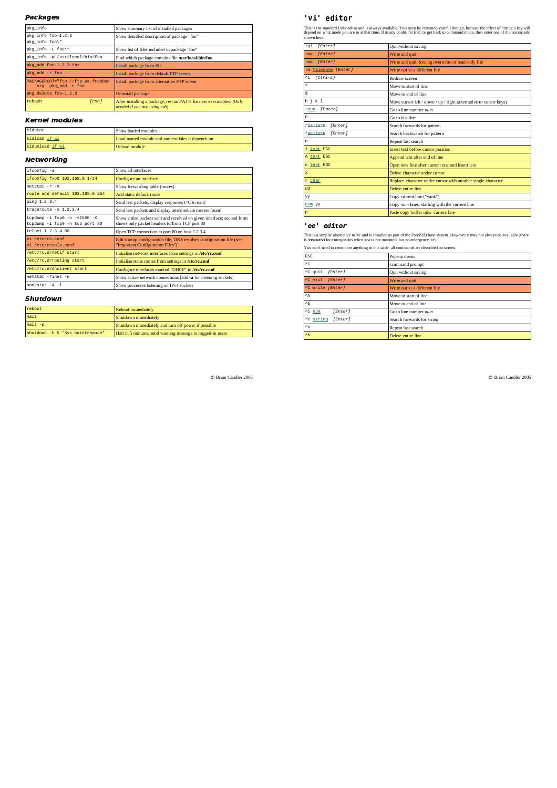#### !\$--!40.&

| pkq_info                                                  | Show summary list of installed packages                                                            |
|-----------------------------------------------------------|----------------------------------------------------------------------------------------------------|
| pkg_info foo-1.2.3                                        | Show detailled description of package "foo"                                                        |
| pkq_info foo\*                                            |                                                                                                    |
| pkq_info -L foo\*                                         | Show list of files included in package "foo"                                                       |
| pkg_info -W /usr/local/bin/foo                            | Find which package contains file /usr/local/bin/foo                                                |
| pkg add foo-1.2.3.tbz                                     | Install package from file                                                                          |
| pkg_add -r_foo                                            | Install package from default FTP server                                                            |
| PACKAGEROOT="ftp://ftp.uk.freebsd.<br>org" pkg_add -r foo | Install package from alternative FTP server                                                        |
| pkg_delete_foo-1.2.3                                      | Uninstall package                                                                                  |
| rehash<br>[csh]                                           | After installing a package, rescan PATH for new executables. (Only<br>needed if you are using csh) |

## Kernel modules

| kldstat         | Show loaded modules                             |
|-----------------|-------------------------------------------------|
| kldload if wi   | Load named module and any modules it depends on |
| kldunload if wi | Unload module                                   |

### Networking

| ifconfig -a                                                      | Show all interfaces                                                                                                    |
|------------------------------------------------------------------|------------------------------------------------------------------------------------------------------------------------|
| ifconfig fxp0 192.168.0.1/24                                     | Configure an interface                                                                                                 |
| netstat -r -n                                                    | Show forwarding table (routes)                                                                                         |
| route add default 192.168.0.254                                  | Add static default route                                                                                               |
| ping 1.2.3.4                                                     | Send test packets, display responses ( $\overline{C}$ to exit)                                                         |
| $fracer\\leftarrow -n 1.2.3.4$                                   | Send test packets and display intermediate routers found                                                               |
| $tcpdump -i fxp0 -n -s1500 -X$<br>tcpdump -i fxp0 -n tcp port 80 | Show entire packets sent and received on given interface; second form<br>shows only packet headers to/from TCP port 80 |
| telnet 1.2.3.4 80                                                | Open TCP connection to port 80 on host 1.2.3.4                                                                         |
| vi /etc/rc.conf<br>vi /etc/resolv.conf                           | Edit startup configuration file, DNS resolver configuration file (see<br>"Important Configuration Files")              |
| /etc/rc.d/netif start                                            | Initialise network interfaces from settings in /etc/rc.conf                                                            |
| /etc/rc.d/routing start                                          | Initialise static routes from settings in /etc/rc.conf                                                                 |
| /etc/rc.d/dhclient start                                         | Configure interfaces marked "DHCP" in /etc/rc.conf                                                                     |
| netstat -finet -n                                                | Show active network connections [add -a for listening sockets]                                                         |
| sockstat $-4$ $-1$                                               | Show processes listening on IPv4 sockets                                                                               |
|                                                                  |                                                                                                                        |

#### 3,(% #

| reboot                          |                                                            |
|---------------------------------|------------------------------------------------------------|
|                                 | Reboot immediately                                         |
| halt                            | Shutdown immediately                                       |
| $halt -p$                       | Shutdown immediately and turn off power if possible        |
| shutdown -h 5 "Sys maintenance" | Halt in 5 minutes, send warning message to logged-in users |

 $©$  Brian Candler 2005

### 

This is the standard Unix editor and is always available. You must be *extremely* careful though, because the effect of hitting a key will<br>depend on what mode you are in at that time. If in any doubt, hit ESC to get back t

| [Enter]<br>: q!             | Quit without saving                                               |
|-----------------------------|-------------------------------------------------------------------|
| [Enter]<br>: wa             | Write and quit                                                    |
| :wq! [Enter]                | Write and quit, forcing overwrite of read-only file               |
| :w filename [Enter]         | Write out to a different file                                     |
| $^{\wedge}$ L<br>$(Ctr1-L)$ | Redraw screen                                                     |
| $\lambda$                   | Move to start of line                                             |
| \$                          | Move to end of line                                               |
| h j k 1                     | Move cursor left / down / up / right (alternative to cursor keys) |
| [Enter]<br>: num            | Go to line number num                                             |
| G                           | Go to last line                                                   |
| /pattern<br>[Enter]         | Search forwards for pattern                                       |
| ?pattern<br>[Enter]         | Search backwards for pattern                                      |
| 'n                          | Repeat last search                                                |
| i text ESC                  | Insert text before cursor position                                |
| A text ESC                  | Append text after end of line                                     |
| o text ESC                  | Open new line after current one and insert text                   |
| ×                           | Delete character under cursor                                     |
| r char                      | Replace character under cursor with another single character      |
| dd                          | Delete entire line                                                |
| yy                          | Copy current line ("yank")                                        |
| num vy                      | Copy num lines, starting with the current line                    |
| p                           | Paste copy buffer after current line                              |

### ee editor

This is a simpler alternative to 'vi' and is installed as part of the FreeBSD base system. However it may not always be available (there is **/rescue/vi** for emergencies when /usr is not mounted, but no emergency 'ee').

| ESC                      | Pop-up menu                   |
|--------------------------|-------------------------------|
| $^{\wedge}$ C            | Command prompt                |
| ^C quit<br>[Enter]       | Quit without saving           |
| [Enter]<br>^C exit       | Write and quit                |
| ^C write [Enter]         | Write out to a different file |
| $^{\wedge}$ A            | Move to start of line         |
| $^{\wedge}E$             | Move to end of line           |
| $\sim$ num<br>[Enter]    | Go to line number num         |
| [Enter]<br>^Y.<br>string | Search forwards for string    |
| $^{\wedge}$ X            | Repeat last search            |
| K                        | Delete entire line            |